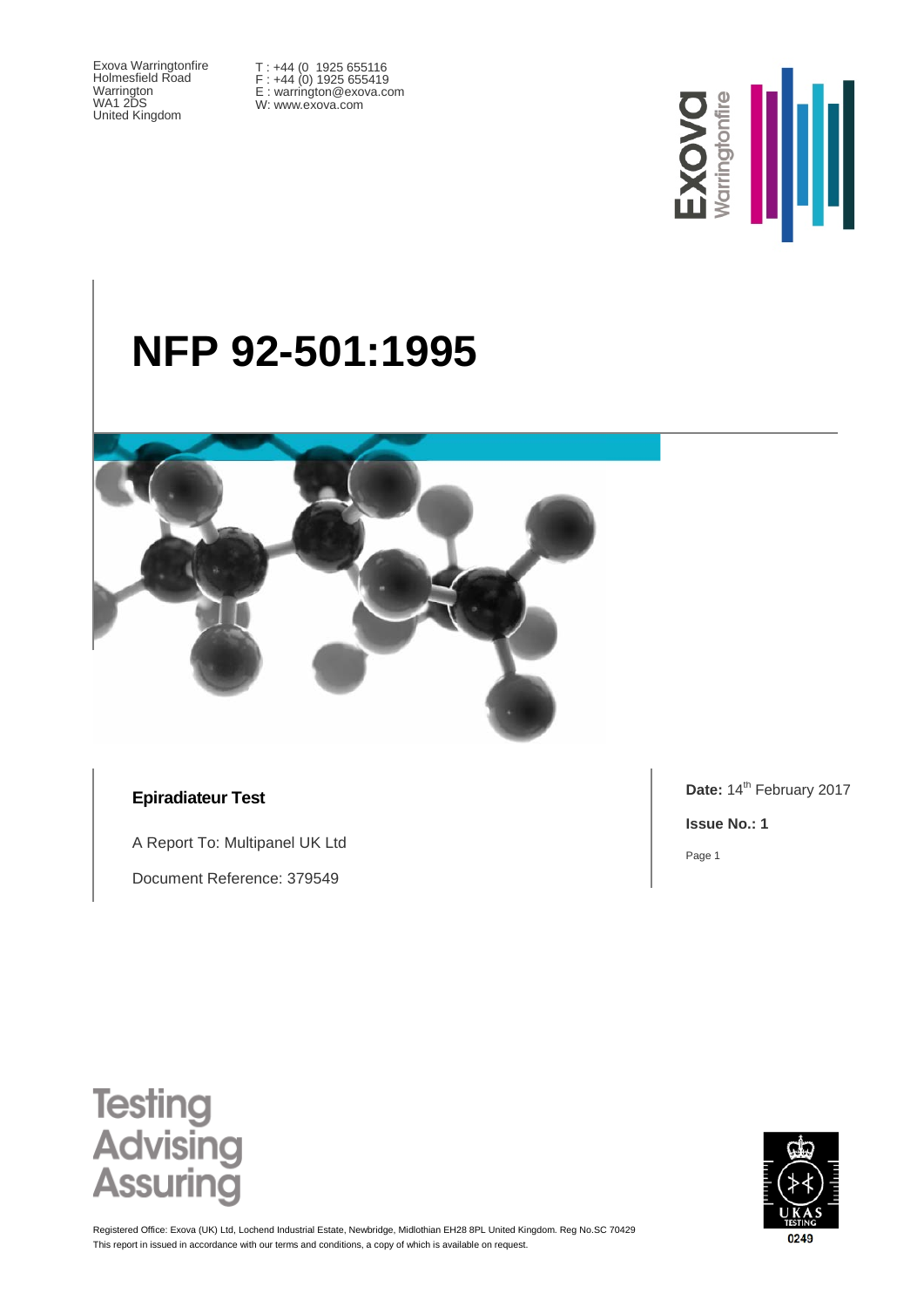Exova Warringtonfire Holmesfield Road Warrington WA1 2DS United Kingdom

T : +44 (0 1925 655116 F : +44 (0) 1925 655419 E : warrington@exova.com W: www.exova.com



# **NFP 92-501:1995**



### **Epiradiateur Test**

A Report To: Multipanel UK Ltd

Document Reference: 379549

Date: 14<sup>th</sup> February 2017

**Issue No.: 1**

Page 1





This report in issued in accordance with our terms and conditions, a copy of which is available on request. Registered Office: Exova (UK) Ltd, Lochend Industrial Estate, Newbridge, Midlothian EH28 8PL United Kingdom. Reg No.SC 70429

0249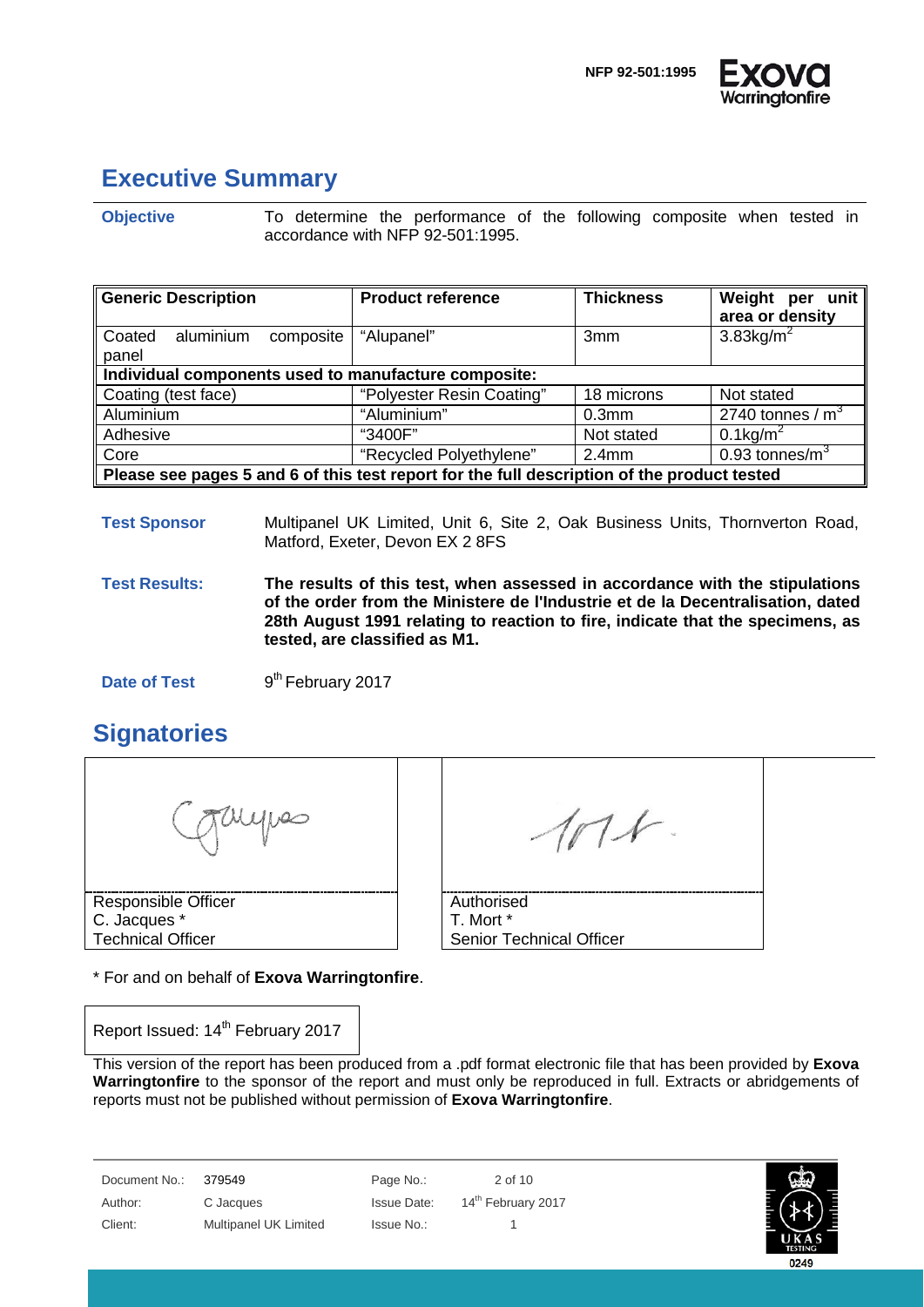

### <span id="page-1-0"></span>**Executive Summary**

**Objective** To determine the performance of the following composite when tested in accordance with NFP 92-501:1995.

| <b>Generic Description</b>                                                                  | <b>Product reference</b>  | <b>Thickness</b>  | Weight per unit<br>area or density |  |
|---------------------------------------------------------------------------------------------|---------------------------|-------------------|------------------------------------|--|
| aluminium<br>Coated<br>composite<br>panel                                                   | "Alupanel"                | 3 <sub>mm</sub>   | $3.83$ kg/m <sup>2</sup>           |  |
| Individual components used to manufacture composite:                                        |                           |                   |                                    |  |
| Coating (test face)                                                                         | "Polyester Resin Coating" | 18 microns        | Not stated                         |  |
| Aluminium                                                                                   | "Aluminium"               | 0.3 <sub>mm</sub> | 2740 tonnes / $m3$                 |  |
| Adhesive                                                                                    | "3400F"                   | Not stated        | $0.1$ kg/m <sup>2</sup>            |  |
| Core                                                                                        | "Recycled Polyethylene"   | 2.4 <sub>mm</sub> | 0.93 tonnes/ $m3$                  |  |
| Please see pages 5 and 6 of this test report for the full description of the product tested |                           |                   |                                    |  |

### **Test Sponsor** Multipanel UK Limited, Unit 6, Site 2, Oak Business Units, Thornverton Road, Matford, Exeter, Devon EX 2 8FS

**Test Results: The results of this test, when assessed in accordance with the stipulations of the order from the Ministere de l'Industrie et de la Decentralisation, dated 28th August 1991 relating to reaction to fire, indicate that the specimens, as tested, are classified as M1.**

**Date of Test** 9<sup>th</sup> February 2017

# <span id="page-1-1"></span>**Signatories**

uypes

Responsible Officer C. Jacques \* Technical Officer

\* For and on behalf of **Exova Warringtonfire**.

Report Issued: 14<sup>th</sup> February 2017

 $\Lambda$ 

Authorised T. Mort \* Senior Technical Officer

This version of the report has been produced from a .pdf format electronic file that has been provided by **Exova Warringtonfire** to the sponsor of the report and must only be reproduced in full. Extracts or abridgements of reports must not be published without permission of **Exova Warringtonfire**.

Document No.: 379549 Page No.: 2 of 10 Author: C Jacques Issue Date: 14<sup>th</sup> February 2017 Client: Multipanel UK Limited Issue No.: 1

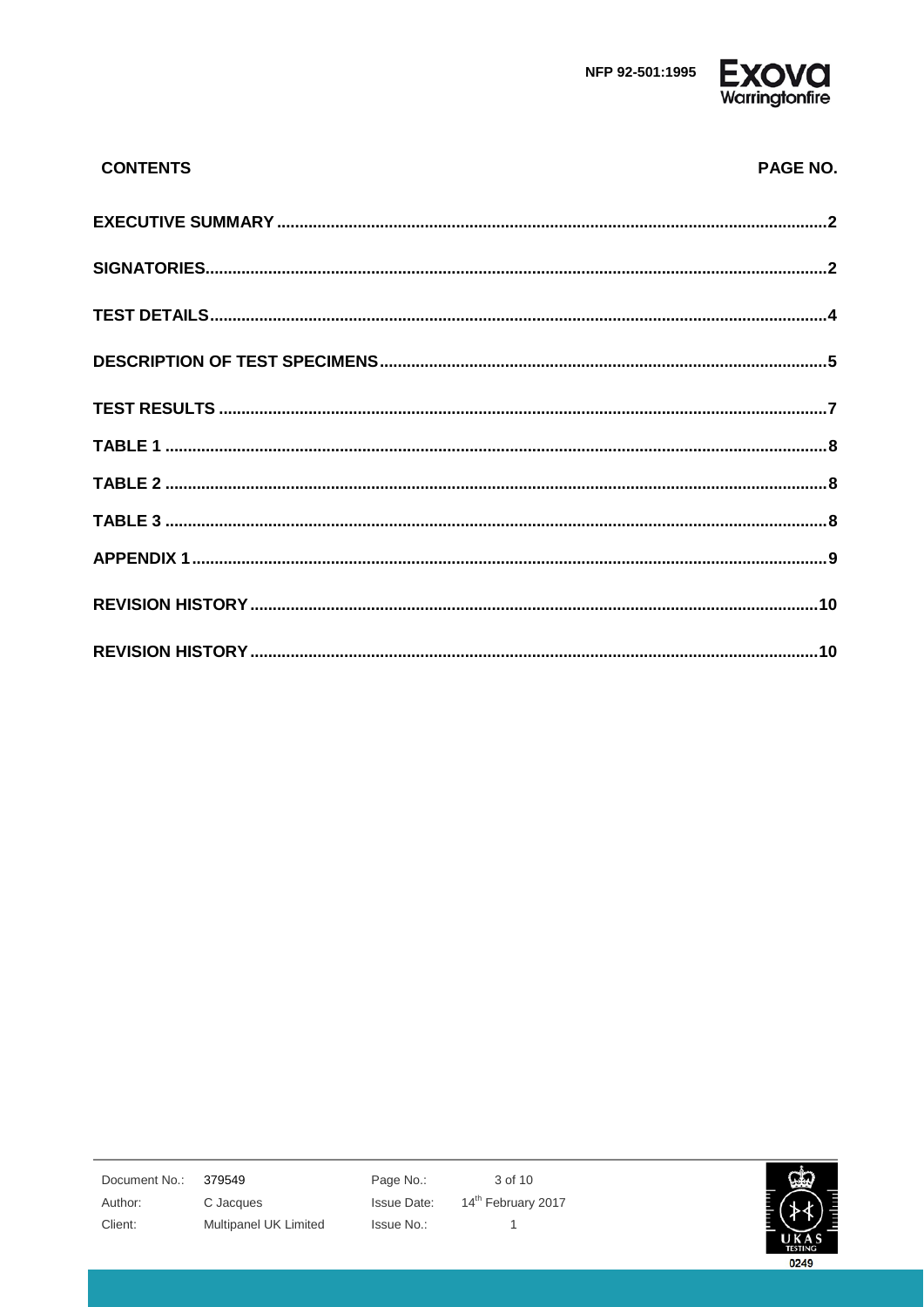

| <b>CONTENTS</b> | PAGE NO. |
|-----------------|----------|
|                 |          |
|                 |          |
|                 |          |
|                 |          |
|                 |          |
|                 |          |
|                 |          |
|                 |          |
|                 |          |
|                 |          |
|                 |          |

379549 Document No.: Author: Client:

C Jacques Multipanel UK Limited Page No.: **Issue Date:** Issue No.:

3 of 10 14<sup>th</sup> February 2017  $\mathbf{1}$ 

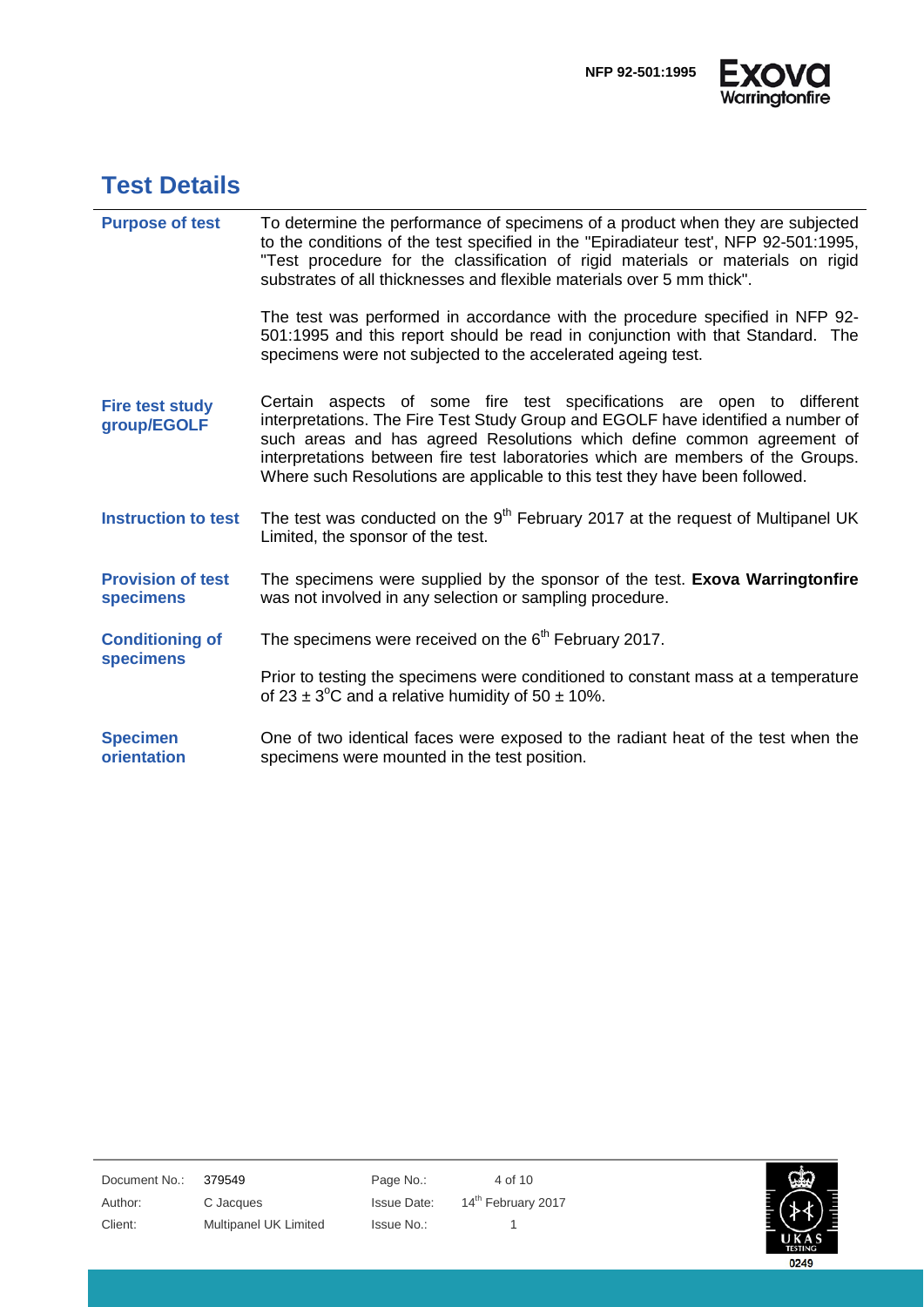

# <span id="page-3-0"></span>**Test Details**

| <b>Purpose of test</b>                       | To determine the performance of specimens of a product when they are subjected<br>to the conditions of the test specified in the "Epiradiateur test', NFP 92-501:1995,<br>"Test procedure for the classification of rigid materials or materials on rigid<br>substrates of all thicknesses and flexible materials over 5 mm thick".                                                                    |
|----------------------------------------------|--------------------------------------------------------------------------------------------------------------------------------------------------------------------------------------------------------------------------------------------------------------------------------------------------------------------------------------------------------------------------------------------------------|
|                                              | The test was performed in accordance with the procedure specified in NFP 92-<br>501:1995 and this report should be read in conjunction with that Standard. The<br>specimens were not subjected to the accelerated ageing test.                                                                                                                                                                         |
| <b>Fire test study</b><br>group/EGOLF        | Certain aspects of some fire test specifications are open to different<br>interpretations. The Fire Test Study Group and EGOLF have identified a number of<br>such areas and has agreed Resolutions which define common agreement of<br>interpretations between fire test laboratories which are members of the Groups.<br>Where such Resolutions are applicable to this test they have been followed. |
| <b>Instruction to test</b>                   | The test was conducted on the 9 <sup>th</sup> February 2017 at the request of Multipanel UK<br>Limited, the sponsor of the test.                                                                                                                                                                                                                                                                       |
| <b>Provision of test</b><br><b>specimens</b> | The specimens were supplied by the sponsor of the test. Exova Warringtonfire<br>was not involved in any selection or sampling procedure.                                                                                                                                                                                                                                                               |
| <b>Conditioning of</b><br><b>specimens</b>   | The specimens were received on the $6th$ February 2017.                                                                                                                                                                                                                                                                                                                                                |
|                                              | Prior to testing the specimens were conditioned to constant mass at a temperature<br>of $23 \pm 3^{\circ}$ C and a relative humidity of $50 \pm 10\%$ .                                                                                                                                                                                                                                                |
| <b>Specimen</b><br>orientation               | One of two identical faces were exposed to the radiant heat of the test when the<br>specimens were mounted in the test position.                                                                                                                                                                                                                                                                       |

Document No.: 379549 Page No.: 4 of 10 Author: C Jacques Issue Date: 14<sup>th</sup> February 2017 Client: Multipanel UK Limited Issue No.: 1

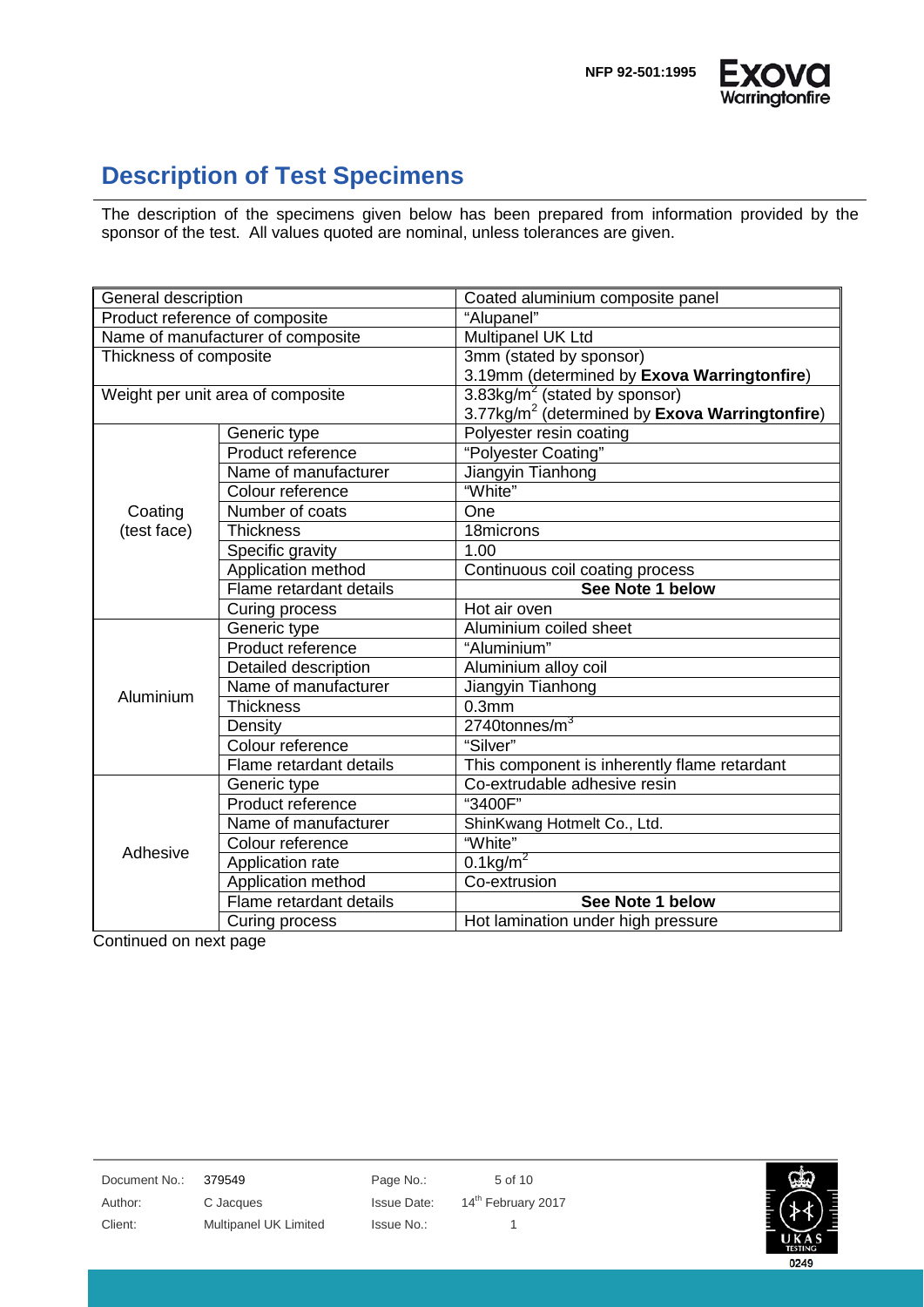



### <span id="page-4-0"></span>**Description of Test Specimens**

The description of the specimens given below has been prepared from information provided by the sponsor of the test. All values quoted are nominal, unless tolerances are given.

| General description               |                                   | Coated aluminium composite panel                           |  |
|-----------------------------------|-----------------------------------|------------------------------------------------------------|--|
|                                   | Product reference of composite    | "Alupanel"                                                 |  |
| Name of manufacturer of composite |                                   | Multipanel UK Ltd                                          |  |
| Thickness of composite            |                                   | 3mm (stated by sponsor)                                    |  |
|                                   |                                   | 3.19mm (determined by Exova Warringtonfire)                |  |
|                                   | Weight per unit area of composite | 3.83kg/ $m^2$ (stated by sponsor)                          |  |
|                                   |                                   | 3.77kg/m <sup>2</sup> (determined by Exova Warringtonfire) |  |
|                                   | Generic type                      | Polyester resin coating                                    |  |
|                                   | Product reference                 | "Polyester Coating"                                        |  |
|                                   | Name of manufacturer              | Jiangyin Tianhong                                          |  |
|                                   | Colour reference                  | "White"                                                    |  |
| Coating                           | Number of coats                   | One                                                        |  |
| (test face)                       | <b>Thickness</b>                  | 18microns                                                  |  |
|                                   | Specific gravity                  | 1.00                                                       |  |
|                                   | Application method                | Continuous coil coating process                            |  |
|                                   | Flame retardant details           | See Note 1 below                                           |  |
|                                   | Curing process                    | Hot air oven                                               |  |
|                                   | Generic type                      | Aluminium coiled sheet                                     |  |
|                                   | Product reference                 | "Aluminium"                                                |  |
|                                   | Detailed description              | Aluminium alloy coil                                       |  |
| Aluminium                         | Name of manufacturer              | Jiangyin Tianhong                                          |  |
|                                   | <b>Thickness</b>                  | 0.3 <sub>mm</sub>                                          |  |
|                                   | Density                           | $2740$ tonnes/m $3$                                        |  |
|                                   | Colour reference                  | "Silver"                                                   |  |
|                                   | Flame retardant details           | This component is inherently flame retardant               |  |
|                                   | Generic type                      | Co-extrudable adhesive resin                               |  |
|                                   | Product reference                 | "3400F"                                                    |  |
|                                   | Name of manufacturer              | ShinKwang Hotmelt Co., Ltd.                                |  |
| Adhesive                          | Colour reference                  | "White"                                                    |  |
|                                   | Application rate                  | $0.1$ kg/m <sup>2</sup>                                    |  |
|                                   | Application method                | Co-extrusion                                               |  |
|                                   | Flame retardant details           | See Note 1 below                                           |  |
|                                   | Curing process                    | Hot lamination under high pressure                         |  |

Continued on next page

Document No.: 379549 Page No.: 5 of 10

Client: Multipanel UK Limited Issue No.: 1

Author: C Jacques Issue Date: 14<sup>th</sup> February 2017

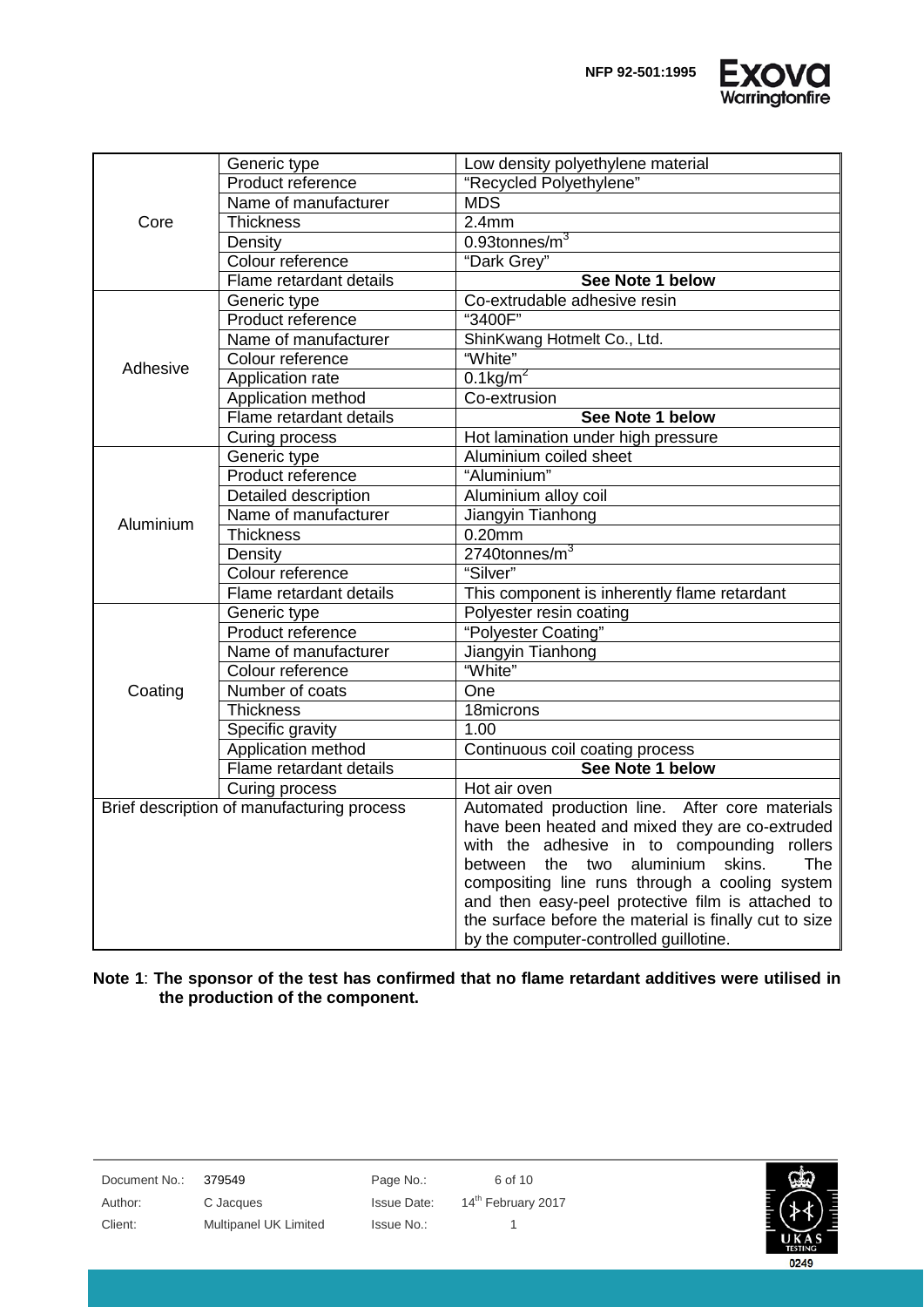

|           | Generic type                               | Low density polyethylene material                      |  |  |
|-----------|--------------------------------------------|--------------------------------------------------------|--|--|
|           | Product reference                          | "Recycled Polyethylene"                                |  |  |
|           | Name of manufacturer                       | <b>MDS</b>                                             |  |  |
| Core      | <b>Thickness</b>                           | $\overline{2.4}$ mm                                    |  |  |
|           | Density                                    | $0.93$ tonnes/m $3$                                    |  |  |
|           | Colour reference                           | "Dark Grey"                                            |  |  |
|           | Flame retardant details                    | See Note 1 below                                       |  |  |
|           | Generic type                               | Co-extrudable adhesive resin                           |  |  |
|           | Product reference                          | "3400F"                                                |  |  |
|           | Name of manufacturer                       | ShinKwang Hotmelt Co., Ltd.                            |  |  |
| Adhesive  | Colour reference                           | "White"                                                |  |  |
|           | Application rate                           | $0.1$ kg/m <sup>2</sup>                                |  |  |
|           | Application method                         | Co-extrusion                                           |  |  |
|           | Flame retardant details                    | See Note 1 below                                       |  |  |
|           | Curing process                             | Hot lamination under high pressure                     |  |  |
|           | Generic type                               | Aluminium coiled sheet                                 |  |  |
| Aluminium | Product reference                          | "Aluminium"                                            |  |  |
|           | <b>Detailed description</b>                | Aluminium alloy coil                                   |  |  |
|           | Name of manufacturer                       | Jiangyin Tianhong                                      |  |  |
|           | <b>Thickness</b>                           | $0.20$ mm                                              |  |  |
|           | Density                                    | $2740$ tonnes/m $3$                                    |  |  |
|           | Colour reference                           | "Silver"                                               |  |  |
|           | Flame retardant details                    | This component is inherently flame retardant           |  |  |
|           | Generic type                               | Polyester resin coating                                |  |  |
|           | Product reference                          | "Polyester Coating"                                    |  |  |
|           | Name of manufacturer                       | Jiangyin Tianhong                                      |  |  |
|           | Colour reference                           | "White"                                                |  |  |
| Coating   | Number of coats                            | One                                                    |  |  |
|           | <b>Thickness</b>                           | 18microns                                              |  |  |
|           | Specific gravity                           | 1.00                                                   |  |  |
|           | Application method                         | Continuous coil coating process                        |  |  |
|           | Flame retardant details                    | See Note 1 below                                       |  |  |
|           | Curing process                             | Hot air oven                                           |  |  |
|           | Brief description of manufacturing process | Automated production line. After core materials        |  |  |
|           |                                            | have been heated and mixed they are co-extruded        |  |  |
|           |                                            | with the adhesive in to compounding<br>rollers         |  |  |
|           |                                            | between the two aluminium skins.<br><b>The</b>         |  |  |
|           |                                            | compositing line runs through a cooling system         |  |  |
|           |                                            | and then easy-peel protective film is attached to      |  |  |
|           |                                            | the surface before the material is finally cut to size |  |  |
|           |                                            | by the computer-controlled guillotine.                 |  |  |

**Note 1**: **The sponsor of the test has confirmed that no flame retardant additives were utilised in the production of the component.**

| Document No.: | 379549                | Page No.:   | 6 of 10                        |
|---------------|-----------------------|-------------|--------------------------------|
| Author:       | C Jacques             | Issue Date: | 14 <sup>th</sup> February 2017 |
| Client:       | Multipanel UK Limited | Issue No.:  |                                |
|               |                       |             |                                |

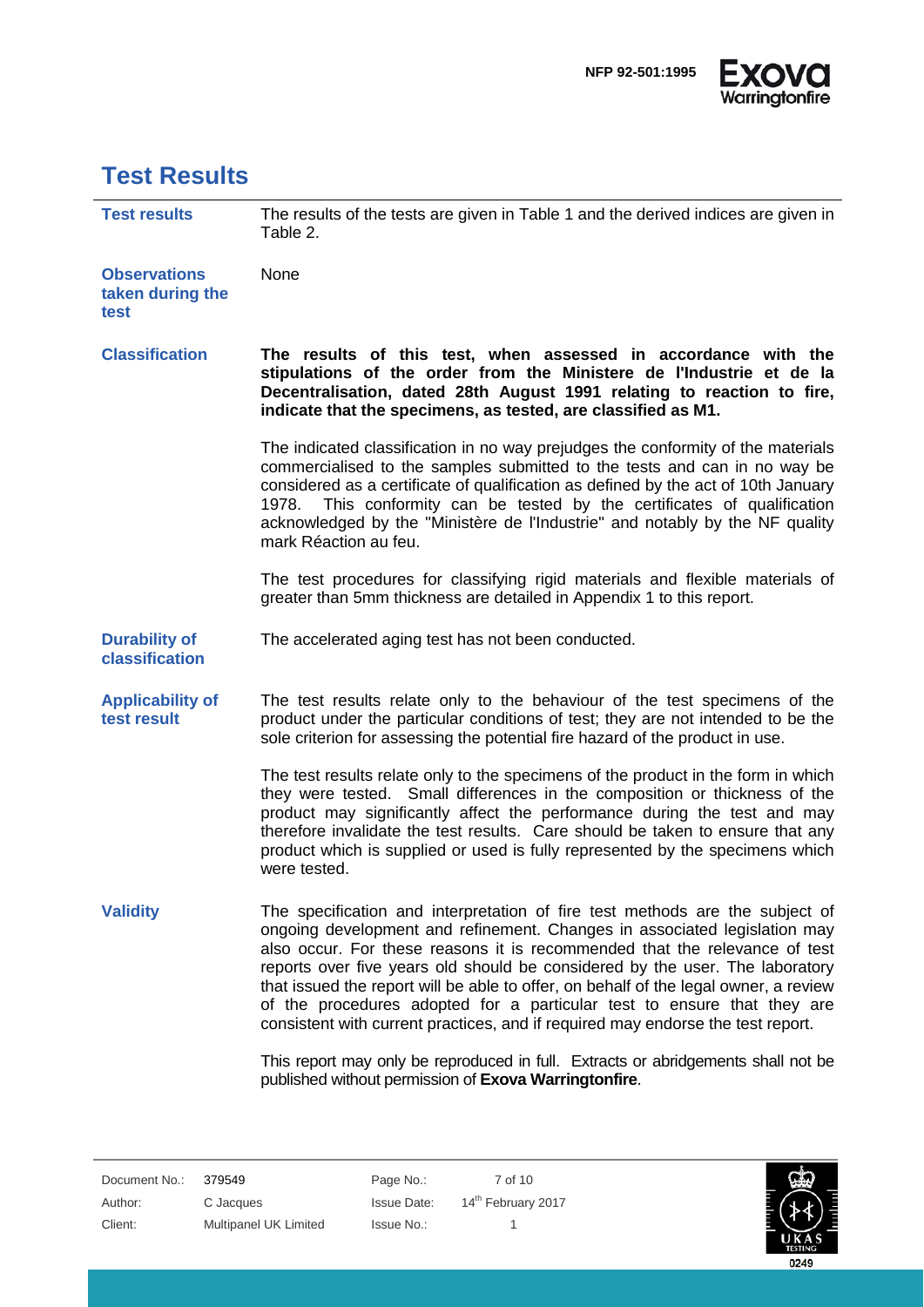

### <span id="page-6-0"></span>**Test Results**

| <b>Test results</b>                             | The results of the tests are given in Table 1 and the derived indices are given in<br>Table 2.                                                                                                                                                                                                                                                                                                                                                                                                                                                                                |
|-------------------------------------------------|-------------------------------------------------------------------------------------------------------------------------------------------------------------------------------------------------------------------------------------------------------------------------------------------------------------------------------------------------------------------------------------------------------------------------------------------------------------------------------------------------------------------------------------------------------------------------------|
| <b>Observations</b><br>taken during the<br>test | None                                                                                                                                                                                                                                                                                                                                                                                                                                                                                                                                                                          |
| <b>Classification</b>                           | The results of this test, when assessed in accordance with the<br>stipulations of the order from the Ministere de l'Industrie et de la<br>Decentralisation, dated 28th August 1991 relating to reaction to fire,<br>indicate that the specimens, as tested, are classified as M1.                                                                                                                                                                                                                                                                                             |
|                                                 | The indicated classification in no way prejudges the conformity of the materials<br>commercialised to the samples submitted to the tests and can in no way be<br>considered as a certificate of qualification as defined by the act of 10th January<br>This conformity can be tested by the certificates of qualification<br>1978.<br>acknowledged by the "Ministère de l'Industrie" and notably by the NF quality<br>mark Réaction au feu.                                                                                                                                   |
|                                                 | The test procedures for classifying rigid materials and flexible materials of<br>greater than 5mm thickness are detailed in Appendix 1 to this report.                                                                                                                                                                                                                                                                                                                                                                                                                        |
| <b>Durability of</b><br>classification          | The accelerated aging test has not been conducted.                                                                                                                                                                                                                                                                                                                                                                                                                                                                                                                            |
| <b>Applicability of</b><br>test result          | The test results relate only to the behaviour of the test specimens of the<br>product under the particular conditions of test; they are not intended to be the<br>sole criterion for assessing the potential fire hazard of the product in use.                                                                                                                                                                                                                                                                                                                               |
|                                                 | The test results relate only to the specimens of the product in the form in which<br>they were tested. Small differences in the composition or thickness of the<br>product may significantly affect the performance during the test and may<br>therefore invalidate the test results. Care should be taken to ensure that any<br>product which is supplied or used is fully represented by the specimens which<br>were tested.                                                                                                                                                |
| <b>Validity</b>                                 | The specification and interpretation of fire test methods are the subject of<br>ongoing development and refinement. Changes in associated legislation may<br>also occur. For these reasons it is recommended that the relevance of test<br>reports over five years old should be considered by the user. The laboratory<br>that issued the report will be able to offer, on behalf of the legal owner, a review<br>of the procedures adopted for a particular test to ensure that they are<br>consistent with current practices, and if required may endorse the test report. |

This report may only be reproduced in full. Extracts or abridgements shall not be published without permission of **Exova Warringtonfire**.

Document No.: 379549 Page No.: 7 of 10 Author: C Jacques Issue Date: 14<sup>th</sup> February 2017 Client: Multipanel UK Limited Issue No.: 1

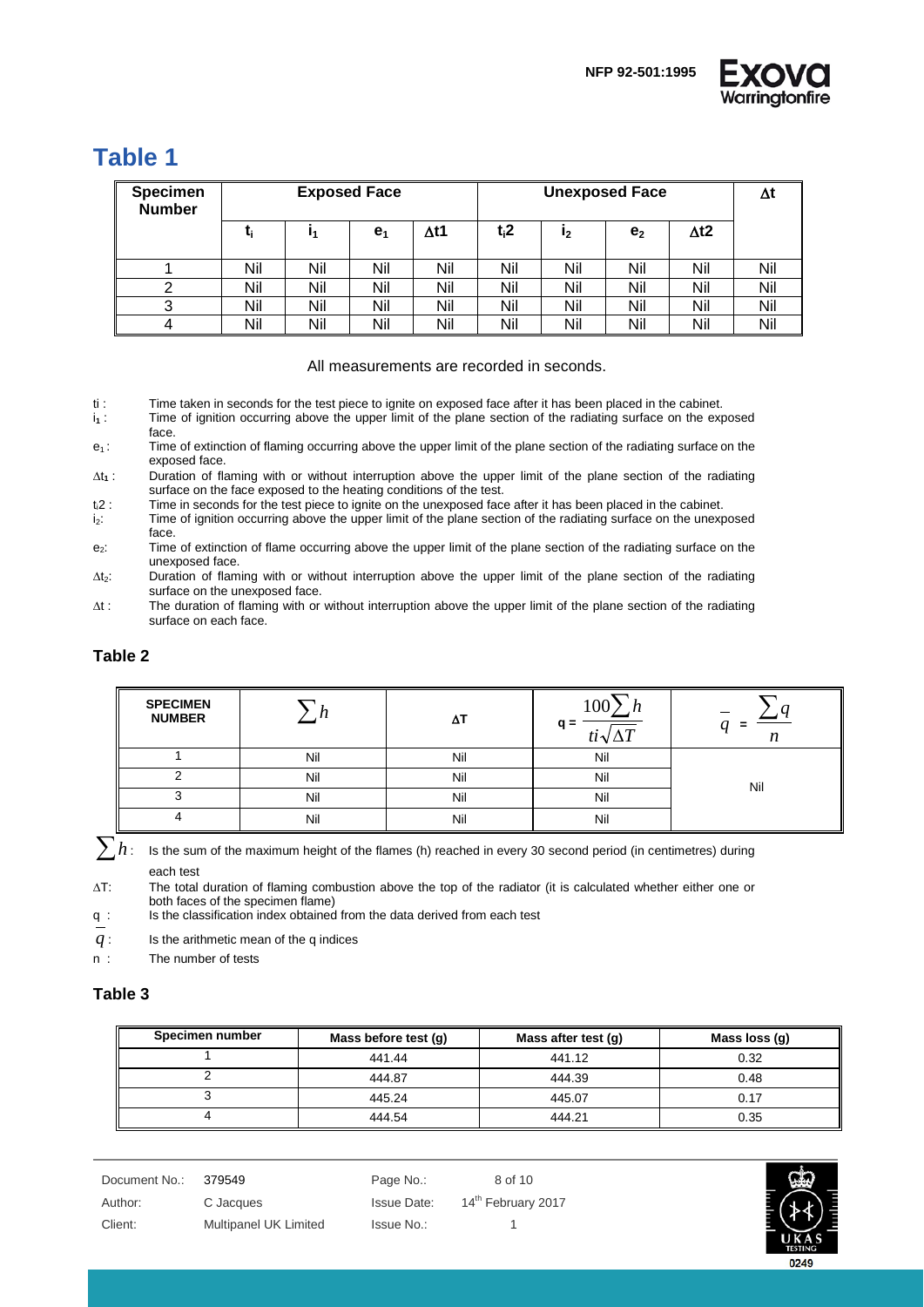

### <span id="page-7-0"></span>**Table 1**

| <b>Specimen</b><br><b>Number</b> | <b>Exposed Face</b> |     |                | <b>Unexposed Face</b> |         |     | Δt             |              |     |
|----------------------------------|---------------------|-----|----------------|-----------------------|---------|-----|----------------|--------------|-----|
|                                  |                     |     | e <sub>1</sub> | Δt1                   | $t_i$ 2 | 12  | e <sub>2</sub> | $\Delta t$ 2 |     |
|                                  | Nil                 | Nil | Nil            | Nil                   | Nil     | Nil | Nil            | Nil          | Nil |
|                                  | Nil                 | Nil | Nil            | Nil                   | Nil     | Nil | Nil            | Nil          | Nil |
| ⌒<br>ت                           | Nil                 | Nil | Nil            | Nil                   | Nil     | Nil | Nil            | Nil          | Nil |
| 4                                | Nil                 | Nil | Nil            | Nil                   | Nil     | Nil | Nil            | Nil          | Nil |

#### All measurements are recorded in seconds.

- ti : Time taken in seconds for the test piece to ignite on exposed face after it has been placed in the cabinet.<br> $i_1$  : Time of ignition occurring above the upper limit of the plane section of the radiating surface on th
- Time of ignition occurring above the upper limit of the plane section of the radiating surface on the exposed face.

 $e_1$ : Time of extinction of flaming occurring above the upper limit of the plane section of the radiating surface on the exposed face.

∆t**<sup>1</sup>** : Duration of flaming with or without interruption above the upper limit of the plane section of the radiating surface on the face exposed to the heating conditions of the test.

t<sub>i</sub>2 : Time in seconds for the test piece to ignite on the unexposed face after it has been placed in the cabinet.<br>i<sub>2</sub>: Time of ignition occurring above the upper limit of the plane section of the radiating surface on th

Time of ignition occurring above the upper limit of the plane section of the radiating surface on the unexposed face.

e<sub>2</sub>: Time of extinction of flame occurring above the upper limit of the plane section of the radiating surface on the unexposed face.

∆t2: Duration of flaming with or without interruption above the upper limit of the plane section of the radiating surface on the unexposed face.

∆t : The duration of flaming with or without interruption above the upper limit of the plane section of the radiating surface on each face.

#### <span id="page-7-1"></span>**Table 2**

| <b>SPECIMEN</b><br><b>NUMBER</b> |     | Δ1  | 10 <sub>0</sub><br>$q =$<br>$ti\sqrt{\Delta T}$ | –<br>Ξ |
|----------------------------------|-----|-----|-------------------------------------------------|--------|
|                                  | Nil | Nil | Nil                                             |        |
|                                  | Nil | Nil | Nil                                             | Nil    |
|                                  | Nil | Nil | Nil                                             |        |
|                                  | Nil | Nil | Nil                                             |        |

∑*<sup>h</sup>* : Is the sum of the maximum height of the flames (h) reached in every 30 second period (in centimetres) during each test

∆T: The total duration of flaming combustion above the top of the radiator (it is calculated whether either one or both faces of the specimen flame)

q : Is the classification index obtained from the data derived from each test

*q* : Is the arithmetic mean of the q indices

<span id="page-7-2"></span>n : The number of tests

#### **Table 3**

| Specimen number | Mass before test (g) | Mass after test (g) | Mass loss (g) |
|-----------------|----------------------|---------------------|---------------|
|                 | 441.44               | 441.12              | 0.32          |
|                 | 444.87               | 444.39              | 0.48          |
|                 | 445.24               | 445.07              | 0.17          |
|                 | 444.54               | 444.21              | 0.35          |

| Document No.: | 379549                | Page No.:          | 8 of 10                        |
|---------------|-----------------------|--------------------|--------------------------------|
| Author:       | C Jacques             | <b>Issue Date:</b> | 14 <sup>th</sup> February 2017 |
| Client:       | Multipanel UK Limited | Issue No.:         |                                |

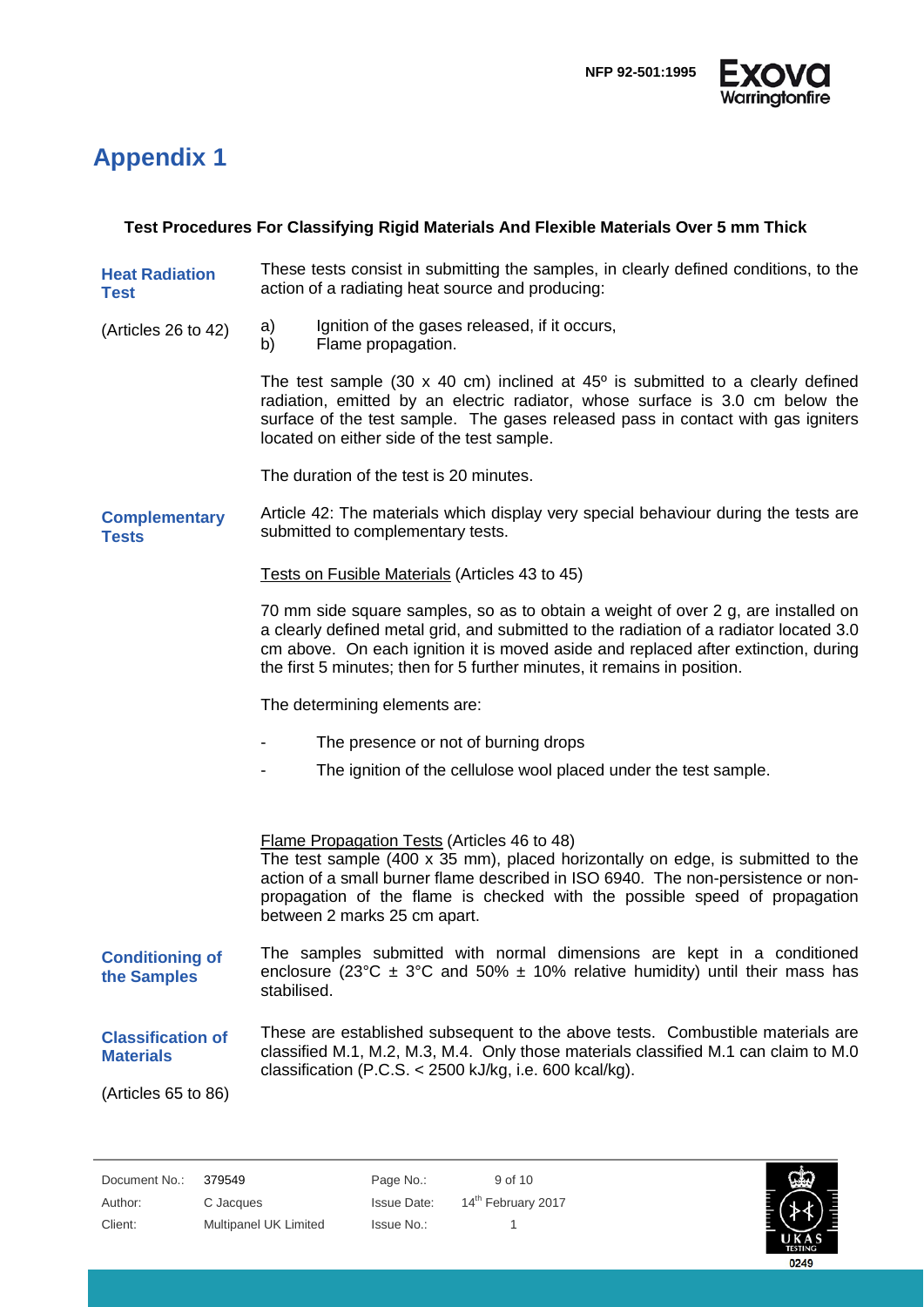

# <span id="page-8-0"></span>**Appendix 1**

#### **Test Procedures For Classifying Rigid Materials And Flexible Materials Over 5 mm Thick**

- **Heat Radiation Test** These tests consist in submitting the samples, in clearly defined conditions, to the action of a radiating heat source and producing:
- (Articles 26 to 42) a) Ignition of the gases released, if it occurs,
	- b) Flame propagation.

The test sample (30  $\times$  40 cm) inclined at 45 $^{\circ}$  is submitted to a clearly defined radiation, emitted by an electric radiator, whose surface is 3.0 cm below the surface of the test sample. The gases released pass in contact with gas igniters located on either side of the test sample.

The duration of the test is 20 minutes.

**Complementary Tests** Article 42: The materials which display very special behaviour during the tests are submitted to complementary tests.

Tests on Fusible Materials (Articles 43 to 45)

70 mm side square samples, so as to obtain a weight of over 2 g, are installed on a clearly defined metal grid, and submitted to the radiation of a radiator located 3.0 cm above. On each ignition it is moved aside and replaced after extinction, during the first 5 minutes; then for 5 further minutes, it remains in position.

The determining elements are:

- The presence or not of burning drops
- The ignition of the cellulose wool placed under the test sample.

Flame Propagation Tests (Articles 46 to 48) The test sample  $(400 \times 35 \text{ mm})$ , placed horizontally on edge, is submitted to the action of a small burner flame described in ISO 6940. The non-persistence or nonpropagation of the flame is checked with the possible speed of propagation between 2 marks 25 cm apart. The samples submitted with normal dimensions are kept in a conditioned

- **Conditioning of the Samples** enclosure (23°C  $\pm$  3°C and 50%  $\pm$  10% relative humidity) until their mass has stabilised.
- **Classification of Materials** These are established subsequent to the above tests. Combustible materials are classified M.1, M.2, M.3, M.4. Only those materials classified M.1 can claim to M.0 classification (P.C.S. < 2500 kJ/kg, i.e. 600 kcal/kg).

(Articles 65 to 86)

Document No.: 379549 Page No.: 9 of 10 Author: C Jacques Issue Date: 14<sup>th</sup> February 2017 Client: Multipanel UK Limited Issue No.: 1